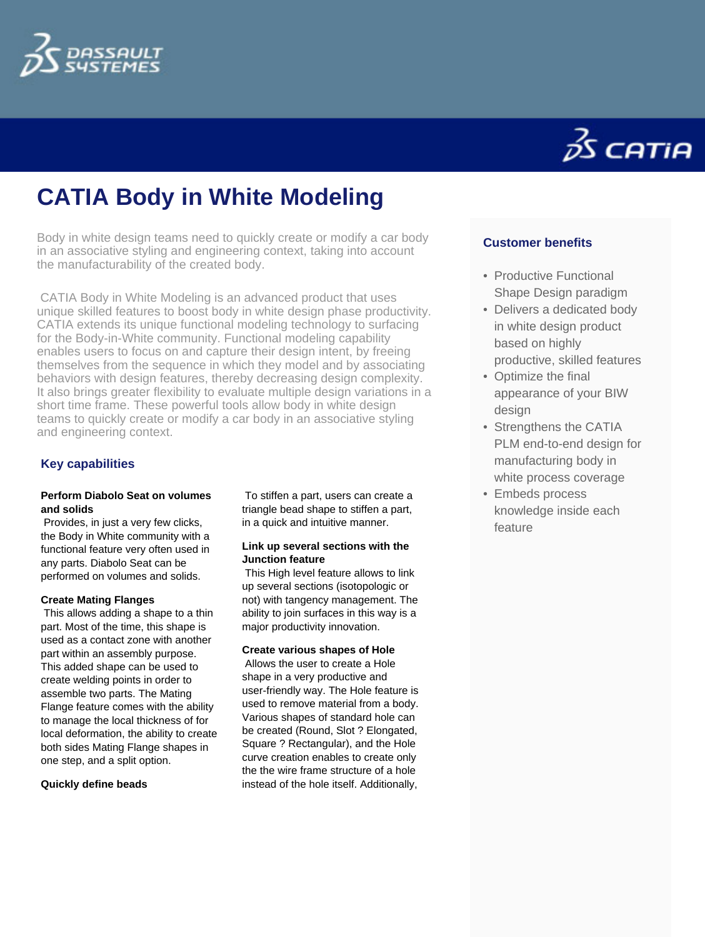



# **CATIA Body in White Modeling**

Body in white design teams need to quickly create or modify a car body in an associative styling and engineering context, taking into account the manufacturability of the created body.

 CATIA Body in White Modeling is an advanced product that uses unique skilled features to boost body in white design phase productivity. CATIA extends its unique functional modeling technology to surfacing for the Body-in-White community. Functional modeling capability enables users to focus on and capture their design intent, by freeing themselves from the sequence in which they model and by associating behaviors with design features, thereby decreasing design complexity. It also brings greater flexibility to evaluate multiple design variations in a short time frame. These powerful tools allow body in white design teams to quickly create or modify a car body in an associative styling and engineering context.

# **Key capabilities**

## **Perform Diabolo Seat on volumes and solids**

 Provides, in just a very few clicks, the Body in White community with a functional feature very often used in any parts. Diabolo Seat can be performed on volumes and solids.

#### **Create Mating Flanges**

 This allows adding a shape to a thin part. Most of the time, this shape is used as a contact zone with another part within an assembly purpose. This added shape can be used to create welding points in order to assemble two parts. The Mating Flange feature comes with the ability to manage the local thickness of for local deformation, the ability to create both sides Mating Flange shapes in one step, and a split option.

#### **Quickly define beads**

 To stiffen a part, users can create a triangle bead shape to stiffen a part, in a quick and intuitive manner.

## **Link up several sections with the Junction feature**

 This High level feature allows to link up several sections (isotopologic or not) with tangency management. The ability to join surfaces in this way is a major productivity innovation.

## **Create various shapes of Hole**

 Allows the user to create a Hole shape in a very productive and user-friendly way. The Hole feature is used to remove material from a body. Various shapes of standard hole can be created (Round, Slot ? Elongated, Square ? Rectangular), and the Hole curve creation enables to create only the the wire frame structure of a hole instead of the hole itself. Additionally,

# **Customer benefits**

- Productive Functional Shape Design paradigm
- Delivers a dedicated body in white design product based on highly productive, skilled features
- Optimize the final appearance of your BIW design
- Strengthens the CATIA PLM end-to-end design for manufacturing body in white process coverage
- Embeds process knowledge inside each feature